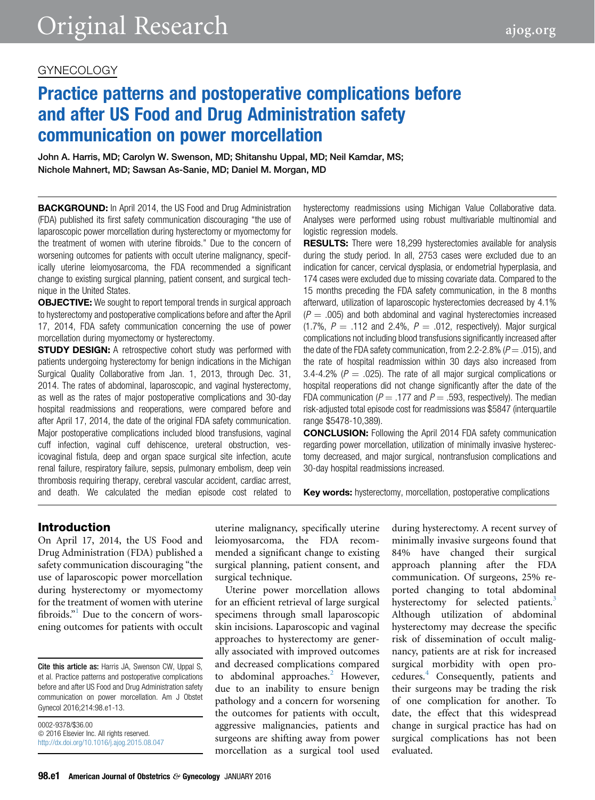## GYNECOLOGY

# Practice patterns and postoperative complications before and after US Food and Drug Administration safety communication on power morcellation

John A. Harris, MD; Carolyn W. Swenson, MD; Shitanshu Uppal, MD; Neil Kamdar, MS; Nichole Mahnert, MD; Sawsan As-Sanie, MD; Daniel M. Morgan, MD

**BACKGROUND:** In April 2014, the US Food and Drug Administration (FDA) published its first safety communication discouraging "the use of laparoscopic power morcellation during hysterectomy or myomectomy for the treatment of women with uterine fibroids." Due to the concern of worsening outcomes for patients with occult uterine malignancy, specifically uterine leiomyosarcoma, the FDA recommended a significant change to existing surgical planning, patient consent, and surgical technique in the United States.

**OBJECTIVE:** We sought to report temporal trends in surgical approach to hysterectomy and postoperative complications before and after the April 17, 2014, FDA safety communication concerning the use of power morcellation during myomectomy or hysterectomy.

**STUDY DESIGN:** A retrospective cohort study was performed with patients undergoing hysterectomy for benign indications in the Michigan Surgical Quality Collaborative from Jan. 1, 2013, through Dec. 31, 2014. The rates of abdominal, laparoscopic, and vaginal hysterectomy, as well as the rates of major postoperative complications and 30-day hospital readmissions and reoperations, were compared before and after April 17, 2014, the date of the original FDA safety communication. Major postoperative complications included blood transfusions, vaginal cuff infection, vaginal cuff dehiscence, ureteral obstruction, vesicovaginal fistula, deep and organ space surgical site infection, acute renal failure, respiratory failure, sepsis, pulmonary embolism, deep vein thrombosis requiring therapy, cerebral vascular accident, cardiac arrest, and death. We calculated the median episode cost related to

hysterectomy readmissions using Michigan Value Collaborative data. Analyses were performed using robust multivariable multinomial and logistic regression models.

**RESULTS:** There were 18,299 hysterectomies available for analysis during the study period. In all, 2753 cases were excluded due to an indication for cancer, cervical dysplasia, or endometrial hyperplasia, and 174 cases were excluded due to missing covariate data. Compared to the 15 months preceding the FDA safety communication, in the 8 months afterward, utilization of laparoscopic hysterectomies decreased by 4.1%  $(P = .005)$  and both abdominal and vaginal hysterectomies increased (1.7%,  $P = .112$  and 2.4%,  $P = .012$ , respectively). Major surgical complications not including blood transfusions significantly increased after the date of the FDA safety communication, from 2.2-2.8% ( $P = .015$ ), and the rate of hospital readmission within 30 days also increased from 3.4-4.2% ( $P = .025$ ). The rate of all major surgical complications or hospital reoperations did not change significantly after the date of the FDA communication ( $P = .177$  and  $P = .593$ , respectively). The median risk-adjusted total episode cost for readmissions was \$5847 (interquartile range \$5478-10,389).

CONCLUSION: Following the April 2014 FDA safety communication regarding power morcellation, utilization of minimally invasive hysterectomy decreased, and major surgical, nontransfusion complications and 30-day hospital readmissions increased.

Key words: hysterectomy, morcellation, postoperative complications

## Introduction

On April 17, 2014, the US Food and Drug Administration (FDA) published a safety communication discouraging "the use of laparoscopic power morcellation during hysterectomy or myomectomy for the treatment of women with uterine fibroids."<sup>[1](#page-5-0)</sup> Due to the concern of worsening outcomes for patients with occult

Cite this article as: Harris JA, Swenson CW, Uppal S, et al. Practice patterns and postoperative complications before and after US Food and Drug Administration safety communication on power morcellation. Am J Obstet Gynecol 2016;214:98.e1-13.

0002-9378/\$36.00  $© 2016 Elsevier Inc. All rights reserved.$ <http://dx.doi.org/10.1016/j.ajog.2015.08.047> uterine malignancy, specifically uterine leiomyosarcoma, the FDA recommended a significant change to existing surgical planning, patient consent, and surgical technique.

Uterine power morcellation allows for an efficient retrieval of large surgical specimens through small laparoscopic skin incisions. Laparoscopic and vaginal approaches to hysterectomy are generally associated with improved outcomes and decreased complications compared to abdominal approaches.<sup>[2](#page-5-0)</sup> However, due to an inability to ensure benign pathology and a concern for worsening the outcomes for patients with occult, aggressive malignancies, patients and surgeons are shifting away from power morcellation as a surgical tool used

during hysterectomy. A recent survey of minimally invasive surgeons found that 84% have changed their surgical approach planning after the FDA communication. Of surgeons, 25% reported changing to total abdominal hysterectomy for selected patients.<sup>[3](#page-5-0)</sup> Although utilization of abdominal hysterectomy may decrease the specific risk of dissemination of occult malignancy, patients are at risk for increased surgical morbidity with open procedures.[4](#page-5-0) Consequently, patients and their surgeons may be trading the risk of one complication for another. To date, the effect that this widespread change in surgical practice has had on surgical complications has not been evaluated.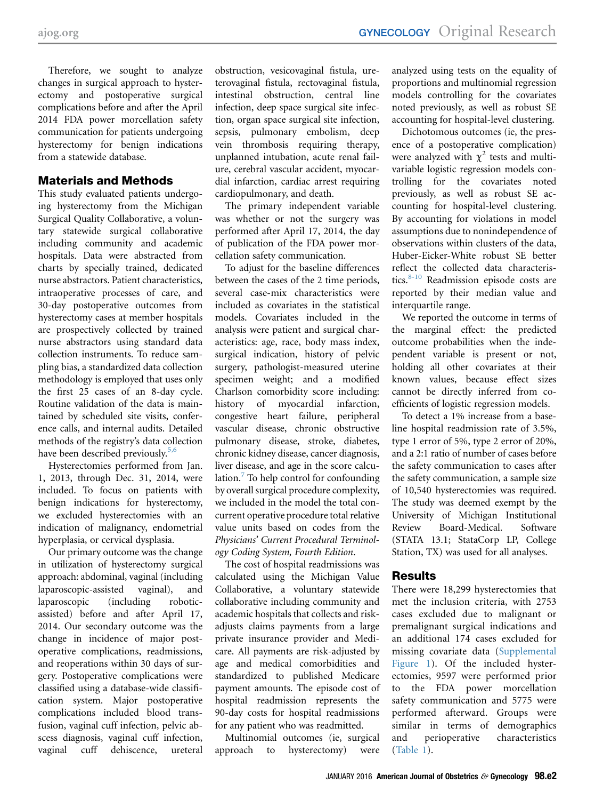Therefore, we sought to analyze changes in surgical approach to hysterectomy and postoperative surgical complications before and after the April 2014 FDA power morcellation safety communication for patients undergoing hysterectomy for benign indications from a statewide database.

## Materials and Methods

This study evaluated patients undergoing hysterectomy from the Michigan Surgical Quality Collaborative, a voluntary statewide surgical collaborative including community and academic hospitals. Data were abstracted from charts by specially trained, dedicated nurse abstractors. Patient characteristics, intraoperative processes of care, and 30-day postoperative outcomes from hysterectomy cases at member hospitals are prospectively collected by trained nurse abstractors using standard data collection instruments. To reduce sampling bias, a standardized data collection methodology is employed that uses only the first 25 cases of an 8-day cycle. Routine validation of the data is maintained by scheduled site visits, conference calls, and internal audits. Detailed methods of the registry's data collection have been described previously.<sup>[5,6](#page-5-0)</sup>

Hysterectomies performed from Jan. 1, 2013, through Dec. 31, 2014, were included. To focus on patients with benign indications for hysterectomy, we excluded hysterectomies with an indication of malignancy, endometrial hyperplasia, or cervical dysplasia.

Our primary outcome was the change in utilization of hysterectomy surgical approach: abdominal, vaginal (including laparoscopic-assisted vaginal), and laparoscopic (including roboticassisted) before and after April 17, 2014. Our secondary outcome was the change in incidence of major postoperative complications, readmissions, and reoperations within 30 days of surgery. Postoperative complications were classified using a database-wide classification system. Major postoperative complications included blood transfusion, vaginal cuff infection, pelvic abscess diagnosis, vaginal cuff infection, vaginal cuff dehiscence, ureteral

obstruction, vesicovaginal fistula, ureterovaginal fistula, rectovaginal fistula, intestinal obstruction, central line infection, deep space surgical site infection, organ space surgical site infection, sepsis, pulmonary embolism, deep vein thrombosis requiring therapy, unplanned intubation, acute renal failure, cerebral vascular accident, myocardial infarction, cardiac arrest requiring cardiopulmonary, and death.

The primary independent variable was whether or not the surgery was performed after April 17, 2014, the day of publication of the FDA power morcellation safety communication.

To adjust for the baseline differences between the cases of the 2 time periods, several case-mix characteristics were included as covariates in the statistical models. Covariates included in the analysis were patient and surgical characteristics: age, race, body mass index, surgical indication, history of pelvic surgery, pathologist-measured uterine specimen weight; and a modified Charlson comorbidity score including: history of myocardial infarction, congestive heart failure, peripheral vascular disease, chronic obstructive pulmonary disease, stroke, diabetes, chronic kidney disease, cancer diagnosis, liver disease, and age in the score calculation. $\frac{7}{7}$  $\frac{7}{7}$  $\frac{7}{7}$  To help control for confounding by overall surgical procedure complexity, we included in the model the total concurrent operative procedure total relative value units based on codes from the Physicians' Current Procedural Terminology Coding System, Fourth Edition.

The cost of hospital readmissions was calculated using the Michigan Value Collaborative, a voluntary statewide collaborative including community and academic hospitals that collects and riskadjusts claims payments from a large private insurance provider and Medicare. All payments are risk-adjusted by age and medical comorbidities and standardized to published Medicare payment amounts. The episode cost of hospital readmission represents the 90-day costs for hospital readmissions for any patient who was readmitted.

Multinomial outcomes (ie, surgical approach to hysterectomy) were

analyzed using tests on the equality of proportions and multinomial regression models controlling for the covariates noted previously, as well as robust SE accounting for hospital-level clustering.

Dichotomous outcomes (ie, the presence of a postoperative complication) were analyzed with  $\chi^2$  tests and multivariable logistic regression models controlling for the covariates noted previously, as well as robust SE accounting for hospital-level clustering. By accounting for violations in model assumptions due to nonindependence of observations within clusters of the data, Huber-Eicker-White robust SE better reflect the collected data characteristics. $8-10$  Readmission episode costs are reported by their median value and interquartile range.

We reported the outcome in terms of the marginal effect: the predicted outcome probabilities when the independent variable is present or not, holding all other covariates at their known values, because effect sizes cannot be directly inferred from coefficients of logistic regression models.

To detect a 1% increase from a baseline hospital readmission rate of 3.5%, type 1 error of 5%, type 2 error of 20%, and a 2:1 ratio of number of cases before the safety communication to cases after the safety communication, a sample size of 10,540 hysterectomies was required. The study was deemed exempt by the University of Michigan Institutional Review Board-Medical. Software (STATA 13.1; StataCorp LP, College Station, TX) was used for all analyses.

## Results

There were 18,299 hysterectomies that met the inclusion criteria, with 2753 cases excluded due to malignant or premalignant surgical indications and an additional 174 cases excluded for missing covariate data [\(Supplemental](#page-7-0) [Figure 1](#page-7-0)). Of the included hysterectomies, 9597 were performed prior to the FDA power morcellation safety communication and 5775 were performed afterward. Groups were similar in terms of demographics and perioperative characteristics [\(Table 1\)](#page-2-0).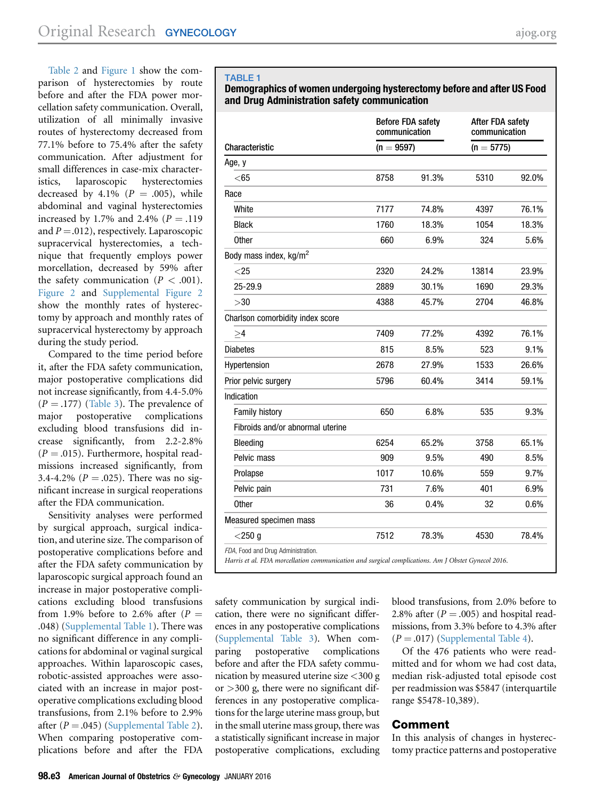<span id="page-2-0"></span>[Table 2](#page-3-0) and [Figure 1](#page-3-0) show the comparison of hysterectomies by route before and after the FDA power morcellation safety communication. Overall, utilization of all minimally invasive routes of hysterectomy decreased from 77.1% before to 75.4% after the safety communication. After adjustment for small differences in case-mix characteristics, laparoscopic hysterectomies decreased by 4.1%  $(P = .005)$ , while abdominal and vaginal hysterectomies increased by 1.7% and 2.4% ( $P = .119$ ) and  $P = .012$ ), respectively. Laparoscopic supracervical hysterectomies, a technique that frequently employs power morcellation, decreased by 59% after the safety communication ( $P < .001$ ). [Figure 2](#page-4-0) and [Supplemental Figure 2](#page-8-0) show the monthly rates of hysterectomy by approach and monthly rates of supracervical hysterectomy by approach during the study period.

Compared to the time period before it, after the FDA safety communication, major postoperative complications did not increase significantly, from 4.4-5.0%  $(P = .177)$  ([Table 3](#page-4-0)). The prevalence of major postoperative complications postoperative complications excluding blood transfusions did increase significantly, from 2.2-2.8%  $(P = .015)$ . Furthermore, hospital readmissions increased significantly, from 3.4-4.2% ( $P = 0.025$ ). There was no significant increase in surgical reoperations after the FDA communication.

Sensitivity analyses were performed by surgical approach, surgical indication, and uterine size. The comparison of postoperative complications before and after the FDA safety communication by laparoscopic surgical approach found an increase in major postoperative complications excluding blood transfusions from 1.9% before to 2.6% after  $(P =$ .048) [\(Supplemental Table 1\)](#page-9-0). There was no significant difference in any complications for abdominal or vaginal surgical approaches. Within laparoscopic cases, robotic-assisted approaches were associated with an increase in major postoperative complications excluding blood transfusions, from 2.1% before to 2.9% after  $(P = .045)$  ([Supplemental Table 2](#page-10-0)). When comparing postoperative complications before and after the FDA

#### TABLE 1

#### Demographics of women undergoing hysterectomy before and after US Food and Drug Administration safety communication

|                                    | communication | <b>Before FDA safety</b> | After FDA safety<br>communication |       |
|------------------------------------|---------------|--------------------------|-----------------------------------|-------|
| Characteristic                     | $(n = 9597)$  |                          | $(n = 5775)$                      |       |
| Age, y                             |               |                          |                                   |       |
| $<$ 65                             | 8758          | 91.3%                    | 5310                              | 92.0% |
| Race                               |               |                          |                                   |       |
| White                              | 7177          | 74.8%                    | 4397                              | 76.1% |
| <b>Black</b>                       | 1760          | 18.3%                    | 1054                              | 18.3% |
| <b>Other</b>                       | 660           | 6.9%                     | 324                               | 5.6%  |
| Body mass index, kg/m <sup>2</sup> |               |                          |                                   |       |
| $<$ 25                             | 2320          | 24.2%                    | 13814                             | 23.9% |
| 25-29.9                            | 2889          | 30.1%                    | 1690                              | 29.3% |
| >30                                | 4388          | 45.7%                    | 2704                              | 46.8% |
| Charlson comorbidity index score   |               |                          |                                   |       |
| $\geq 4$                           | 7409          | 77.2%                    | 4392                              | 76.1% |
| <b>Diabetes</b>                    | 815           | 8.5%                     | 523                               | 9.1%  |
| Hypertension                       | 2678          | 27.9%                    | 1533                              | 26.6% |
| Prior pelvic surgery               | 5796          | 60.4%                    | 3414                              | 59.1% |
| Indication                         |               |                          |                                   |       |
| Family history                     | 650           | 6.8%                     | 535                               | 9.3%  |
| Fibroids and/or abnormal uterine   |               |                          |                                   |       |
| Bleeding                           | 6254          | 65.2%                    | 3758                              | 65.1% |
| Pelvic mass                        | 909           | 9.5%                     | 490                               | 8.5%  |
| Prolapse                           | 1017          | 10.6%                    | 559                               | 9.7%  |
| Pelvic pain                        | 731           | 7.6%                     | 401                               | 6.9%  |
| <b>Other</b>                       | 36            | 0.4%                     | 32                                | 0.6%  |
| Measured specimen mass             |               |                          |                                   |       |
| $<$ 250 g                          | 7512          | 78.3%                    | 4530                              | 78.4% |

safety communication by surgical indication, there were no significant differences in any postoperative complications ([Supplemental Table 3\)](#page-11-0). When comparing postoperative complications before and after the FDA safety communication by measured uterine size <300 g or  $>300$  g, there were no significant differences in any postoperative complications for the large uterine mass group, but in the small uterine mass group, there was a statistically significant increase in major postoperative complications, excluding

blood transfusions, from 2.0% before to 2.8% after  $(P = .005)$  and hospital readmissions, from 3.3% before to 4.3% after  $(P = .017)$  ([Supplemental Table 4\)](#page-12-0).

Of the 476 patients who were readmitted and for whom we had cost data, median risk-adjusted total episode cost per readmission was \$5847 (interquartile range \$5478-10,389).

## Comment

In this analysis of changes in hysterectomy practice patterns and postoperative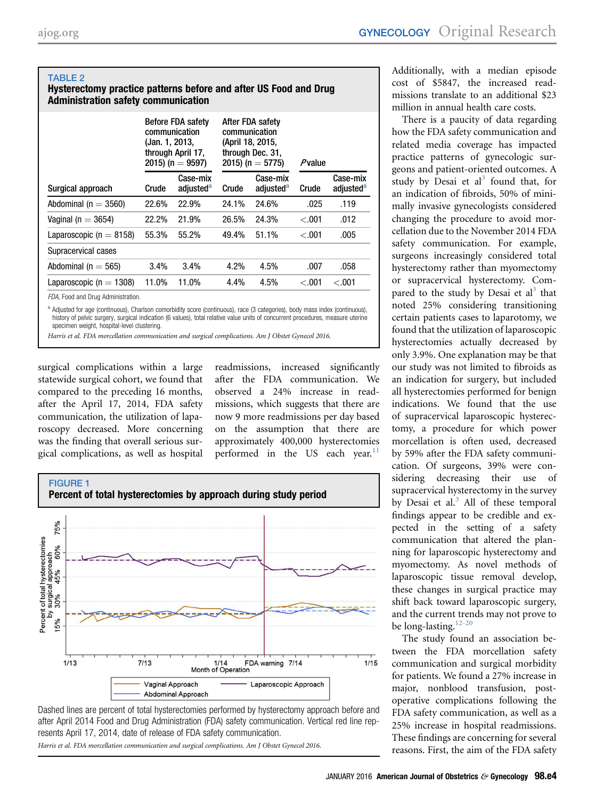#### <span id="page-3-0"></span>TABLE 2 Hysterectomy practice patterns before and after US Food and Drug Administration safety communication

|                                   | (Jan. 1, 2013, | <b>Before FDA safety</b><br>communication<br>through April 17,<br>2015) (n = $9597$ ) | After FDA safety<br>communication<br>(April 18, 2015,<br>through Dec. 31,<br>2015) (n = 5775) |                                   | Pvalue  |                                   |
|-----------------------------------|----------------|---------------------------------------------------------------------------------------|-----------------------------------------------------------------------------------------------|-----------------------------------|---------|-----------------------------------|
| Surgical approach                 | Crude          | Case-mix<br>adjusted <sup>a</sup>                                                     | Crude                                                                                         | Case-mix<br>adjusted <sup>a</sup> | Crude   | Case-mix<br>adjusted <sup>a</sup> |
| Abdominal ( $n = 3560$ )          | 22.6%          | 22.9%                                                                                 | 24.1%                                                                                         | 24.6%                             | .025    | .119                              |
| Vaginal (n $=$ 3654)              | 22.2%          | 21.9%                                                                                 | 26.5%                                                                                         | 24.3%                             | $-.001$ | .012                              |
| Laparoscopic ( $n = 8158$ )       | 55.3%          | 55.2%                                                                                 | 49.4%                                                                                         | 51.1%                             | $-.001$ | .005                              |
| Supracervical cases               |                |                                                                                       |                                                                                               |                                   |         |                                   |
| Abdominal ( $n = 565$ )           | 3.4%           | 3.4%                                                                                  | 4.2%                                                                                          | 4.5%                              | .007    | .058                              |
| Laparoscopic ( $n = 1308$ )       | 11.0%          | 11.0%                                                                                 | 4.4%                                                                                          | 4.5%                              | < 0.001 | < 0.001                           |
| EDA, Egod and Drug Administration |                |                                                                                       |                                                                                               |                                   |         |                                   |

FDA, Food and Drug Administratior

a Adjusted for age (continuous), Charlson comorbidity score (continuous), race (3 categories), body mass index (continuous), history of pelvic surgery, surgical indication (6 values), total relative value units of concurrent procedures, measure uterine specimen weight, hospital-level clustering.

Harris et al. FDA morcellation communication and surgical complications. Am J Obstet Gynecol 2016.

surgical complications within a large statewide surgical cohort, we found that compared to the preceding 16 months, after the April 17, 2014, FDA safety communication, the utilization of laparoscopy decreased. More concerning was the finding that overall serious surgical complications, as well as hospital

readmissions, increased significantly after the FDA communication. We observed a 24% increase in readmissions, which suggests that there are now 9 more readmissions per day based on the assumption that there are approximately 400,000 hysterectomies performed in the US each year. $\frac{11}{11}$  $\frac{11}{11}$  $\frac{11}{11}$ 



Dashed lines are percent of total hysterectomies performed by hysterectomy approach before and after April 2014 Food and Drug Administration (FDA) safety communication. Vertical red line represents April 17, 2014, date of release of FDA safety communication.

Harris et al. FDA morcellation communication and surgical complications. Am J Obstet Gynecol 2016.

Additionally, with a median episode cost of \$5847, the increased readmissions translate to an additional \$23 million in annual health care costs.

There is a paucity of data regarding how the FDA safety communication and related media coverage has impacted practice patterns of gynecologic surgeons and patient-oriented outcomes. A study by Desai et  $al^3$  $al^3$  found that, for an indication of fibroids, 50% of minimally invasive gynecologists considered changing the procedure to avoid morcellation due to the November 2014 FDA safety communication. For example, surgeons increasingly considered total hysterectomy rather than myomectomy or supracervical hysterectomy. Compared to the study by Desai et  $al<sup>3</sup>$  $al<sup>3</sup>$  $al<sup>3</sup>$  that noted 25% considering transitioning certain patients cases to laparotomy, we found that the utilization of laparoscopic hysterectomies actually decreased by only 3.9%. One explanation may be that our study was not limited to fibroids as an indication for surgery, but included all hysterectomies performed for benign indications. We found that the use of supracervical laparoscopic hysterectomy, a procedure for which power morcellation is often used, decreased by 59% after the FDA safety communication. Of surgeons, 39% were considering decreasing their use of supracervical hysterectomy in the survey by Desai et al. $3$  All of these temporal findings appear to be credible and expected in the setting of a safety communication that altered the planning for laparoscopic hysterectomy and myomectomy. As novel methods of laparoscopic tissue removal develop, these changes in surgical practice may shift back toward laparoscopic surgery, and the current trends may not prove to be long-lasting.<sup>[12-20](#page-5-0)</sup>

The study found an association between the FDA morcellation safety communication and surgical morbidity for patients. We found a 27% increase in major, nonblood transfusion, postoperative complications following the FDA safety communication, as well as a 25% increase in hospital readmissions. These findings are concerning for several reasons. First, the aim of the FDA safety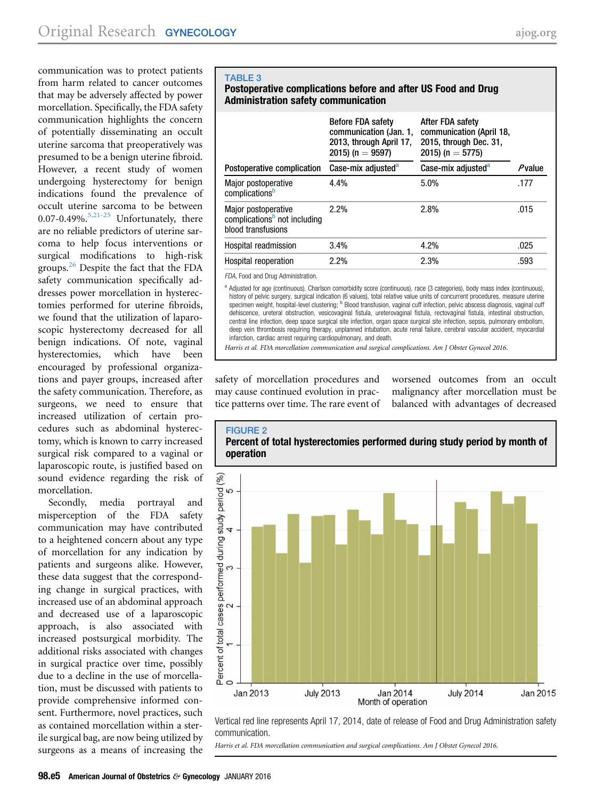<span id="page-4-0"></span>communication was to protect patients from harm related to cancer outcomes that may be adversely affected by power morcellation. Specifically, the FDA safety communication highlights the concern of potentially disseminating an occult uterine sarcoma that preoperatively was presumed to be a benign uterine fibroid. However, a recent study of women undergoing hysterectomy for benign indications found the prevalence of occult uterine sarcoma to be between 0.07-0.49%. $5,21-25$  Unfortunately, there are no reliable predictors of uterine sarcoma to help focus interventions or surgical modifications to high-risk groups.<sup>[26](#page-6-0)</sup> Despite the fact that the FDA safety communication specifically addresses power morcellation in hysterectomies performed for uterine fibroids, we found that the utilization of laparoscopic hysterectomy decreased for all benign indications. Of note, vaginal hysterectomies, which have been encouraged by professional organizations and payer groups, increased after the safety communication. Therefore, as surgeons, we need to ensure that increased utilization of certain procedures such as abdominal hysterectomy, which is known to carry increased surgical risk compared to a vaginal or laparoscopic route, is justified based on sound evidence regarding the risk of morcellation.

Secondly, media portrayal and misperception of the FDA safety communication may have contributed to a heightened concern about any type of morcellation for any indication by patients and surgeons alike. However, these data suggest that the corresponding change in surgical practices, with increased use of an abdominal approach and decreased use of a laparoscopic approach, is also associated with increased postsurgical morbidity. The additional risks associated with changes in surgical practice over time, possibly due to a decline in the use of morcellation, must be discussed with patients to provide comprehensive informed consent. Furthermore, novel practices, such as contained morcellation within a sterile surgical bag, are now being utilized by surgeons as a means of increasing the

### TABLE 3 Postoperative complications before and after US Food and Drug Administration safety communication

|                                                                                       | <b>Before FDA safety</b><br>communication (Jan. 1,<br>2013, through April 17,<br>2015) (n = $9597$ ) | After FDA safety<br>communication (April 18,<br>2015, through Dec. 31,<br>2015) (n = 5775) |           |
|---------------------------------------------------------------------------------------|------------------------------------------------------------------------------------------------------|--------------------------------------------------------------------------------------------|-----------|
| Postoperative complication                                                            | Case-mix adjusted <sup>a</sup>                                                                       | Case-mix adjusted <sup>a</sup>                                                             | $P$ value |
| Major postoperative<br>complications <sup>b</sup>                                     | 4.4%                                                                                                 | 5.0%                                                                                       | .177      |
| Major postoperative<br>complications <sup>b</sup> not including<br>blood transfusions | 2.2%                                                                                                 | 2.8%                                                                                       | .015      |
| Hospital readmission                                                                  | 3.4%                                                                                                 | 4.2%                                                                                       | .025      |
| Hospital reoperation                                                                  | 2.2%                                                                                                 | 2.3%                                                                                       | .593      |

FDA, Food and Drug Administration.

a Adjusted for age (continuous), Charlson comorbidity score (continuous), race (3 categories), body mass index (continuous), history of pelvic surgery, surgical indication (6 values), total relative value units of concurrent procedures, measure uterine specimen weight, hospital-level clustering; <sup>b</sup> Blood transfusion, vaginal cuff infection, pelvic abscess diagnosis, vaginal cuff dehiscence, ureteral obstruction, vesicovaginal fistula, ureterovaginal fistula, rectovaginal fistula, intestinal obstruction, central line infection, deep space surgical site infection, organ space surgical site infection, sepsis, pulmonary embolism, deep vein thrombosis requiring therapy, unplanned intubation, acute renal failure, cerebral vascular accident, myocardial infarction, cardiac arrest requiring cardiopulmonary, and death.

Harris et al. FDA morcellation communication and surgical complications. Am J Obstet Gynecol 2016.

safety of morcellation procedures and may cause continued evolution in practice patterns over time. The rare event of

worsened outcomes from an occult malignancy after morcellation must be balanced with advantages of decreased



Vertical red line represents April 17, 2014, date of release of Food and Drug Administration safety communication.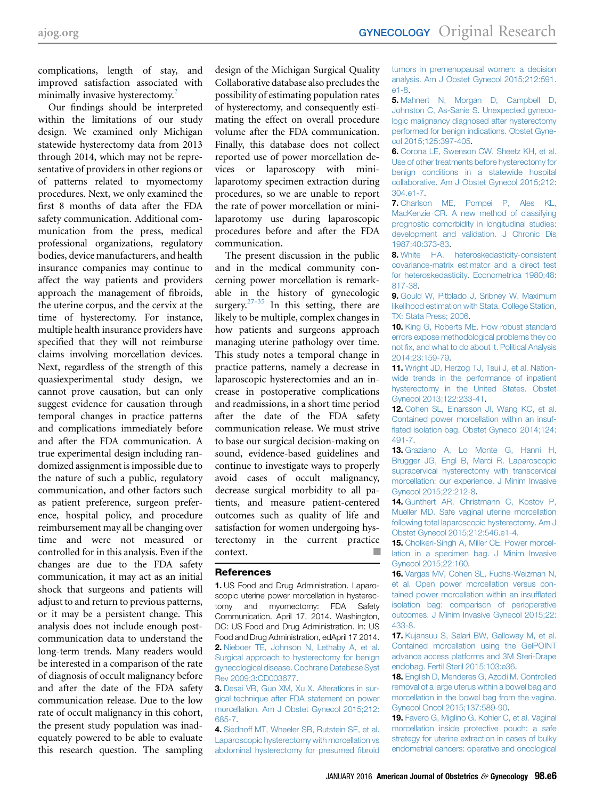<span id="page-5-0"></span>complications, length of stay, and improved satisfaction associated with minimally invasive hysterectomy.<sup>2</sup>

Our findings should be interpreted within the limitations of our study design. We examined only Michigan statewide hysterectomy data from 2013 through 2014, which may not be representative of providers in other regions or of patterns related to myomectomy procedures. Next, we only examined the first 8 months of data after the FDA safety communication. Additional communication from the press, medical professional organizations, regulatory bodies, device manufacturers, and health insurance companies may continue to affect the way patients and providers approach the management of fibroids, the uterine corpus, and the cervix at the time of hysterectomy. For instance, multiple health insurance providers have specified that they will not reimburse claims involving morcellation devices. Next, regardless of the strength of this quasiexperimental study design, we cannot prove causation, but can only suggest evidence for causation through temporal changes in practice patterns and complications immediately before and after the FDA communication. A true experimental design including randomized assignment is impossible due to the nature of such a public, regulatory communication, and other factors such as patient preference, surgeon preference, hospital policy, and procedure reimbursement may all be changing over time and were not measured or controlled for in this analysis. Even if the changes are due to the FDA safety communication, it may act as an initial shock that surgeons and patients will adjust to and return to previous patterns, or it may be a persistent change. This analysis does not include enough postcommunication data to understand the long-term trends. Many readers would be interested in a comparison of the rate of diagnosis of occult malignancy before and after the date of the FDA safety communication release. Due to the low rate of occult malignancy in this cohort, the present study population was inadequately powered to be able to evaluate this research question. The sampling

design of the Michigan Surgical Quality Collaborative database also precludes the possibility of estimating population rates of hysterectomy, and consequently estimating the effect on overall procedure volume after the FDA communication. Finally, this database does not collect reported use of power morcellation devices or laparoscopy with minilaparotomy specimen extraction during procedures, so we are unable to report the rate of power morcellation or minilaparotomy use during laparoscopic procedures before and after the FDA communication.

The present discussion in the public and in the medical community concerning power morcellation is remarkable in the history of gynecologic surgery.<sup>[27-35](#page-6-0)</sup> In this setting, there are likely to be multiple, complex changes in how patients and surgeons approach managing uterine pathology over time. This study notes a temporal change in practice patterns, namely a decrease in laparoscopic hysterectomies and an increase in postoperative complications and readmissions, in a short time period after the date of the FDA safety communication release. We must strive to base our surgical decision-making on sound, evidence-based guidelines and continue to investigate ways to properly avoid cases of occult malignancy, decrease surgical morbidity to all patients, and measure patient-centered outcomes such as quality of life and satisfaction for women undergoing hysterectomy in the current practice context.

#### References

1. US Food and Drug Administration. Laparoscopic uterine power morcellation in hysterectomy and myomectomy: FDA Safety Communication. April 17, 2014. Washington, DC: US Food and Drug Administration. In: US Food and Drug Administration, edApril 17 2014. 2. [Nieboer TE, Johnson N, Lethaby A, et al.](http://refhub.elsevier.com/S0002-9378(15)00929-1/sref2) [Surgical approach to hysterectomy for benign](http://refhub.elsevier.com/S0002-9378(15)00929-1/sref2) [gynecological disease. Cochrane Database Syst](http://refhub.elsevier.com/S0002-9378(15)00929-1/sref2) [Rev 2009;3:CD003677.](http://refhub.elsevier.com/S0002-9378(15)00929-1/sref2)

3. [Desai VB, Guo XM, Xu X. Alterations in sur](http://refhub.elsevier.com/S0002-9378(15)00929-1/sref3)[gical technique after FDA statement on power](http://refhub.elsevier.com/S0002-9378(15)00929-1/sref3) [morcellation. Am J Obstet Gynecol 2015;212:](http://refhub.elsevier.com/S0002-9378(15)00929-1/sref3) [685-7.](http://refhub.elsevier.com/S0002-9378(15)00929-1/sref3)

4. [Siedhoff MT, Wheeler SB, Rutstein SE, et al.](http://refhub.elsevier.com/S0002-9378(15)00929-1/sref4) [Laparoscopic hysterectomy with morcellation vs](http://refhub.elsevier.com/S0002-9378(15)00929-1/sref4) [abdominal hysterectomy for presumed](http://refhub.elsevier.com/S0002-9378(15)00929-1/sref4) fibroid [tumors in premenopausal women: a decision](http://refhub.elsevier.com/S0002-9378(15)00929-1/sref4) [analysis. Am J Obstet Gynecol 2015;212:591.](http://refhub.elsevier.com/S0002-9378(15)00929-1/sref4) [e1-8](http://refhub.elsevier.com/S0002-9378(15)00929-1/sref4).

5. [Mahnert N, Morgan D, Campbell D,](http://refhub.elsevier.com/S0002-9378(15)00929-1/sref5) [Johnston C, As-Sanie S. Unexpected gyneco](http://refhub.elsevier.com/S0002-9378(15)00929-1/sref5)[logic malignancy diagnosed after hysterectomy](http://refhub.elsevier.com/S0002-9378(15)00929-1/sref5) [performed for benign indications. Obstet Gyne](http://refhub.elsevier.com/S0002-9378(15)00929-1/sref5)[col 2015;125:397-405.](http://refhub.elsevier.com/S0002-9378(15)00929-1/sref5)

6. [Corona LE, Swenson CW, Sheetz KH, et al.](http://refhub.elsevier.com/S0002-9378(15)00929-1/sref6) [Use of other treatments before hysterectomy for](http://refhub.elsevier.com/S0002-9378(15)00929-1/sref6) [benign conditions in a statewide hospital](http://refhub.elsevier.com/S0002-9378(15)00929-1/sref6) [collaborative. Am J Obstet Gynecol 2015;212:](http://refhub.elsevier.com/S0002-9378(15)00929-1/sref6) [304.e1-7.](http://refhub.elsevier.com/S0002-9378(15)00929-1/sref6)

7. [Charlson ME, Pompei P, Ales KL,](http://refhub.elsevier.com/S0002-9378(15)00929-1/sref7) [MacKenzie CR. A new method of classifying](http://refhub.elsevier.com/S0002-9378(15)00929-1/sref7) [prognostic comorbidity in longitudinal studies:](http://refhub.elsevier.com/S0002-9378(15)00929-1/sref7) [development and validation. J Chronic Dis](http://refhub.elsevier.com/S0002-9378(15)00929-1/sref7) [1987;40:373-83](http://refhub.elsevier.com/S0002-9378(15)00929-1/sref7).

8. [White HA. heteroskedasticity-consistent](http://refhub.elsevier.com/S0002-9378(15)00929-1/sref8) [covariance-matrix estimator and a direct test](http://refhub.elsevier.com/S0002-9378(15)00929-1/sref8) [for heteroskedasticity. Econometrica 1980;48:](http://refhub.elsevier.com/S0002-9378(15)00929-1/sref8) [817-38](http://refhub.elsevier.com/S0002-9378(15)00929-1/sref8).

9. [Gould W, Pitblado J, Sribney W. Maximum](http://refhub.elsevier.com/S0002-9378(15)00929-1/sref9) [likelihood estimation with Stata. College Station,](http://refhub.elsevier.com/S0002-9378(15)00929-1/sref9) [TX: Stata Press; 2006.](http://refhub.elsevier.com/S0002-9378(15)00929-1/sref9)

10. [King G, Roberts ME. How robust standard](http://refhub.elsevier.com/S0002-9378(15)00929-1/sref10) [errors expose methodological problems they do](http://refhub.elsevier.com/S0002-9378(15)00929-1/sref10) not fi[x, and what to do about it. Political Analysis](http://refhub.elsevier.com/S0002-9378(15)00929-1/sref10) [2014;23:159-79](http://refhub.elsevier.com/S0002-9378(15)00929-1/sref10).

11. [Wright JD, Herzog TJ, Tsui J, et al. Nation](http://refhub.elsevier.com/S0002-9378(15)00929-1/sref11)[wide trends in the performance of inpatient](http://refhub.elsevier.com/S0002-9378(15)00929-1/sref11) [hysterectomy in the United States. Obstet](http://refhub.elsevier.com/S0002-9378(15)00929-1/sref11) [Gynecol 2013;122:233-41](http://refhub.elsevier.com/S0002-9378(15)00929-1/sref11).

12. Cohen SL, Einarsson Jl, Wang KC, et al. [Contained power morcellation within an insuf](http://refhub.elsevier.com/S0002-9378(15)00929-1/sref12)fl[ated isolation bag. Obstet Gynecol 2014;124:](http://refhub.elsevier.com/S0002-9378(15)00929-1/sref12) [491-7](http://refhub.elsevier.com/S0002-9378(15)00929-1/sref12).

13. [Graziano A, Lo Monte G, Hanni H,](http://refhub.elsevier.com/S0002-9378(15)00929-1/sref13) [Brugger JG, Engl B, Marci R. Laparoscopic](http://refhub.elsevier.com/S0002-9378(15)00929-1/sref13) [supracervical hysterectomy with transcervical](http://refhub.elsevier.com/S0002-9378(15)00929-1/sref13) [morcellation: our experience. J Minim Invasive](http://refhub.elsevier.com/S0002-9378(15)00929-1/sref13) [Gynecol 2015;22:212-8](http://refhub.elsevier.com/S0002-9378(15)00929-1/sref13).

14. [Gunthert AR, Christmann C, Kostov P,](http://refhub.elsevier.com/S0002-9378(15)00929-1/sref14) [Mueller MD. Safe vaginal uterine morcellation](http://refhub.elsevier.com/S0002-9378(15)00929-1/sref14) [following total laparoscopic hysterectomy. Am J](http://refhub.elsevier.com/S0002-9378(15)00929-1/sref14) [Obstet Gynecol 2015;212:546.e1-4.](http://refhub.elsevier.com/S0002-9378(15)00929-1/sref14)

15. [Cholkeri-Singh A, Miller CE. Power morcel](http://refhub.elsevier.com/S0002-9378(15)00929-1/sref15)[lation in a specimen bag. J Minim Invasive](http://refhub.elsevier.com/S0002-9378(15)00929-1/sref15) [Gynecol 2015;22:160](http://refhub.elsevier.com/S0002-9378(15)00929-1/sref15).

16. [Vargas MV, Cohen SL, Fuchs-Weizman N,](http://refhub.elsevier.com/S0002-9378(15)00929-1/sref16) [et al. Open power morcellation versus con](http://refhub.elsevier.com/S0002-9378(15)00929-1/sref16)[tained power morcellation within an insuf](http://refhub.elsevier.com/S0002-9378(15)00929-1/sref16)flated [isolation bag: comparison of perioperative](http://refhub.elsevier.com/S0002-9378(15)00929-1/sref16) [outcomes. J Minim Invasive Gynecol 2015;22:](http://refhub.elsevier.com/S0002-9378(15)00929-1/sref16) [433-8](http://refhub.elsevier.com/S0002-9378(15)00929-1/sref16).

17. [Kujansuu S, Salari BW, Galloway M, et al.](http://refhub.elsevier.com/S0002-9378(15)00929-1/sref17) [Contained morcellation using the GelPOINT](http://refhub.elsevier.com/S0002-9378(15)00929-1/sref17) [advance access platforms and 3M Steri-Drape](http://refhub.elsevier.com/S0002-9378(15)00929-1/sref17) [endobag. Fertil Steril 2015;103:e36.](http://refhub.elsevier.com/S0002-9378(15)00929-1/sref17)

18. [English D, Menderes G, Azodi M. Controlled](http://refhub.elsevier.com/S0002-9378(15)00929-1/sref18) [removal of a large uterus within a bowel bag and](http://refhub.elsevier.com/S0002-9378(15)00929-1/sref18) [morcellation in the bowel bag from the vagina.](http://refhub.elsevier.com/S0002-9378(15)00929-1/sref18) [Gynecol Oncol 2015;137:589-90](http://refhub.elsevier.com/S0002-9378(15)00929-1/sref18).

19. [Favero G, Miglino G, Kohler C, et al. Vaginal](http://refhub.elsevier.com/S0002-9378(15)00929-1/sref19) [morcellation inside protective pouch: a safe](http://refhub.elsevier.com/S0002-9378(15)00929-1/sref19) [strategy for uterine extraction in cases of bulky](http://refhub.elsevier.com/S0002-9378(15)00929-1/sref19) [endometrial cancers: operative and oncological](http://refhub.elsevier.com/S0002-9378(15)00929-1/sref19)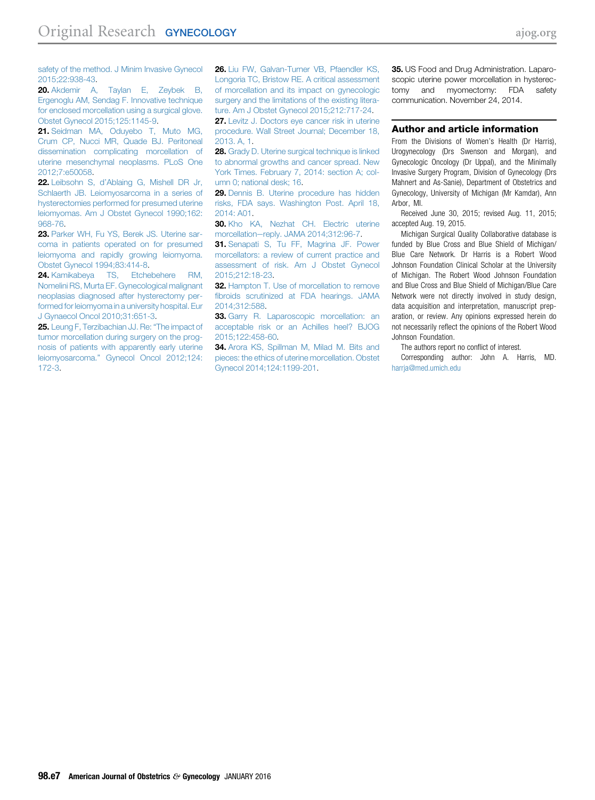<span id="page-6-0"></span>[safety of the method. J Minim Invasive Gynecol](http://refhub.elsevier.com/S0002-9378(15)00929-1/sref19) [2015;22:938-43](http://refhub.elsevier.com/S0002-9378(15)00929-1/sref19).

20. [Akdemir A, Taylan E, Zeybek B,](http://refhub.elsevier.com/S0002-9378(15)00929-1/sref20) [Ergenoglu AM, Sendag F. Innovative technique](http://refhub.elsevier.com/S0002-9378(15)00929-1/sref20) [for enclosed morcellation using a surgical glove.](http://refhub.elsevier.com/S0002-9378(15)00929-1/sref20) [Obstet Gynecol 2015;125:1145-9.](http://refhub.elsevier.com/S0002-9378(15)00929-1/sref20)

21. Seidman MA, Oduvebo T, Muto MG, [Crum CP, Nucci MR, Quade BJ. Peritoneal](http://refhub.elsevier.com/S0002-9378(15)00929-1/sref21) [dissemination complicating morcellation of](http://refhub.elsevier.com/S0002-9378(15)00929-1/sref21) [uterine mesenchymal neoplasms. PLoS One](http://refhub.elsevier.com/S0002-9378(15)00929-1/sref21) [2012;7:e50058](http://refhub.elsevier.com/S0002-9378(15)00929-1/sref21).

22. Leibsohn S, d'[Ablaing G, Mishell DR Jr,](http://refhub.elsevier.com/S0002-9378(15)00929-1/sref22) [Schlaerth JB. Leiomyosarcoma in a series of](http://refhub.elsevier.com/S0002-9378(15)00929-1/sref22) [hysterectomies performed for presumed uterine](http://refhub.elsevier.com/S0002-9378(15)00929-1/sref22) [leiomyomas. Am J Obstet Gynecol 1990;162:](http://refhub.elsevier.com/S0002-9378(15)00929-1/sref22) [968-76.](http://refhub.elsevier.com/S0002-9378(15)00929-1/sref22)

23. [Parker WH, Fu YS, Berek JS. Uterine sar](http://refhub.elsevier.com/S0002-9378(15)00929-1/sref23)[coma in patients operated on for presumed](http://refhub.elsevier.com/S0002-9378(15)00929-1/sref23) [leiomyoma and rapidly growing leiomyoma.](http://refhub.elsevier.com/S0002-9378(15)00929-1/sref23) [Obstet Gynecol 1994;83:414-8.](http://refhub.elsevier.com/S0002-9378(15)00929-1/sref23)

24. [Kamikabeya TS, Etchebehere RM,](http://refhub.elsevier.com/S0002-9378(15)00929-1/sref24) [Nomelini RS, Murta EF. Gynecological malignant](http://refhub.elsevier.com/S0002-9378(15)00929-1/sref24) [neoplasias diagnosed after hysterectomy per](http://refhub.elsevier.com/S0002-9378(15)00929-1/sref24)[formed for leiomyoma in a university hospital. Eur](http://refhub.elsevier.com/S0002-9378(15)00929-1/sref24) [J Gynaecol Oncol 2010;31:651-3](http://refhub.elsevier.com/S0002-9378(15)00929-1/sref24).

25. [Leung F, Terzibachian JJ. Re:](http://refhub.elsevier.com/S0002-9378(15)00929-1/sref25) "The impact of [tumor morcellation during surgery on the prog](http://refhub.elsevier.com/S0002-9378(15)00929-1/sref25)[nosis of patients with apparently early uterine](http://refhub.elsevier.com/S0002-9378(15)00929-1/sref25) leiomyosarcoma." [Gynecol Oncol 2012;124:](http://refhub.elsevier.com/S0002-9378(15)00929-1/sref25) [172-3](http://refhub.elsevier.com/S0002-9378(15)00929-1/sref25).

26. [Liu FW, Galvan-Turner VB, Pfaendler KS,](http://refhub.elsevier.com/S0002-9378(15)00929-1/sref26) [Longoria TC, Bristow RE. A critical assessment](http://refhub.elsevier.com/S0002-9378(15)00929-1/sref26) [of morcellation and its impact on gynecologic](http://refhub.elsevier.com/S0002-9378(15)00929-1/sref26) [surgery and the limitations of the existing litera](http://refhub.elsevier.com/S0002-9378(15)00929-1/sref26)[ture. Am J Obstet Gynecol 2015;212:717-24](http://refhub.elsevier.com/S0002-9378(15)00929-1/sref26).

27. [Levitz J. Doctors eye cancer risk in uterine](http://refhub.elsevier.com/S0002-9378(15)00929-1/sref27) [procedure. Wall Street Journal; December 18,](http://refhub.elsevier.com/S0002-9378(15)00929-1/sref27) 2013 A<sub>1</sub>

28. [Grady D. Uterine surgical technique is linked](http://refhub.elsevier.com/S0002-9378(15)00929-1/sref28) [to abnormal growths and cancer spread. New](http://refhub.elsevier.com/S0002-9378(15)00929-1/sref28) [York Times. February 7, 2014: section A; col](http://refhub.elsevier.com/S0002-9378(15)00929-1/sref28)[umn 0; national desk; 16.](http://refhub.elsevier.com/S0002-9378(15)00929-1/sref28)

29. [Dennis B. Uterine procedure has hidden](http://refhub.elsevier.com/S0002-9378(15)00929-1/sref29) [risks, FDA says. Washington Post. April 18,](http://refhub.elsevier.com/S0002-9378(15)00929-1/sref29) [2014: A01.](http://refhub.elsevier.com/S0002-9378(15)00929-1/sref29)

30. [Kho KA, Nezhat CH. Electric uterine](http://refhub.elsevier.com/S0002-9378(15)00929-1/sref30) morcellation-[reply. JAMA 2014;312:96-7](http://refhub.elsevier.com/S0002-9378(15)00929-1/sref30).

31. [Senapati S, Tu FF, Magrina JF. Power](http://refhub.elsevier.com/S0002-9378(15)00929-1/sref31) [morcellators: a review of current practice and](http://refhub.elsevier.com/S0002-9378(15)00929-1/sref31) [assessment of risk. Am J Obstet Gynecol](http://refhub.elsevier.com/S0002-9378(15)00929-1/sref31) [2015;212:18-23.](http://refhub.elsevier.com/S0002-9378(15)00929-1/sref31)

32. [Hampton T. Use of morcellation to remove](http://refhub.elsevier.com/S0002-9378(15)00929-1/sref32) fi[broids scrutinized at FDA hearings. JAMA](http://refhub.elsevier.com/S0002-9378(15)00929-1/sref32) [2014;312:588](http://refhub.elsevier.com/S0002-9378(15)00929-1/sref32).

33. [Garry R. Laparoscopic morcellation: an](http://refhub.elsevier.com/S0002-9378(15)00929-1/sref33) [acceptable risk or an Achilles heel? BJOG](http://refhub.elsevier.com/S0002-9378(15)00929-1/sref33) [2015;122:458-60](http://refhub.elsevier.com/S0002-9378(15)00929-1/sref33).

34. [Arora KS, Spillman M, Milad M. Bits and](http://refhub.elsevier.com/S0002-9378(15)00929-1/sref34) [pieces: the ethics of uterine morcellation. Obstet](http://refhub.elsevier.com/S0002-9378(15)00929-1/sref34) [Gynecol 2014;124:1199-201.](http://refhub.elsevier.com/S0002-9378(15)00929-1/sref34)

35. US Food and Drug Administration. Laparoscopic uterine power morcellation in hysterectomy and myomectomy: FDA safety communication. November 24, 2014.

#### Author and article information

From the Divisions of Women's Health (Dr Harris), Urogynecology (Drs Swenson and Morgan), and Gynecologic Oncology (Dr Uppal), and the Minimally Invasive Surgery Program, Division of Gynecology (Drs Mahnert and As-Sanie), Department of Obstetrics and Gynecology, University of Michigan (Mr Kamdar), Ann Arbor, MI.

Received June 30, 2015; revised Aug. 11, 2015; accepted Aug. 19, 2015.

Michigan Surgical Quality Collaborative database is funded by Blue Cross and Blue Shield of Michigan/ Blue Care Network. Dr Harris is a Robert Wood Johnson Foundation Clinical Scholar at the University of Michigan. The Robert Wood Johnson Foundation and Blue Cross and Blue Shield of Michigan/Blue Care Network were not directly involved in study design, data acquisition and interpretation, manuscript preparation, or review. Any opinions expressed herein do not necessarily reflect the opinions of the Robert Wood Johnson Foundation.

The authors report no conflict of interest.

Corresponding author: John A. Harris, MD. harrja@med.umich.edu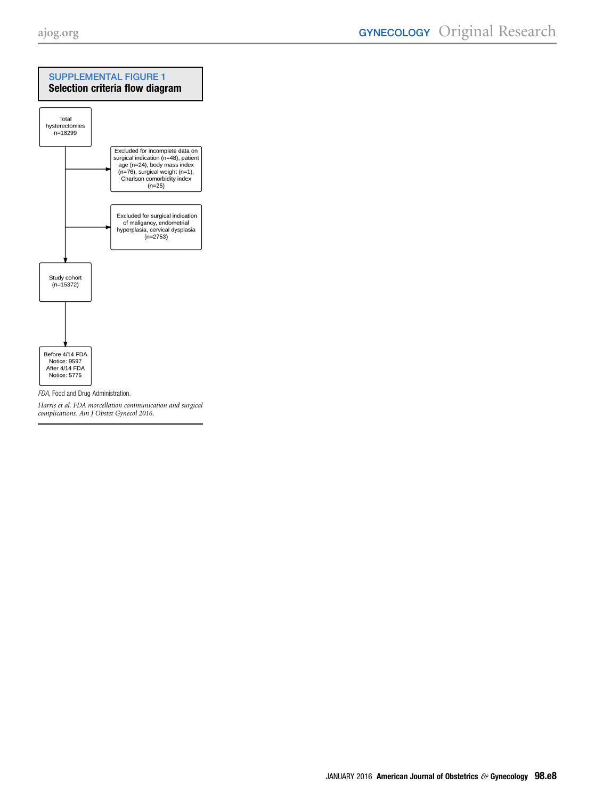<span id="page-7-0"></span>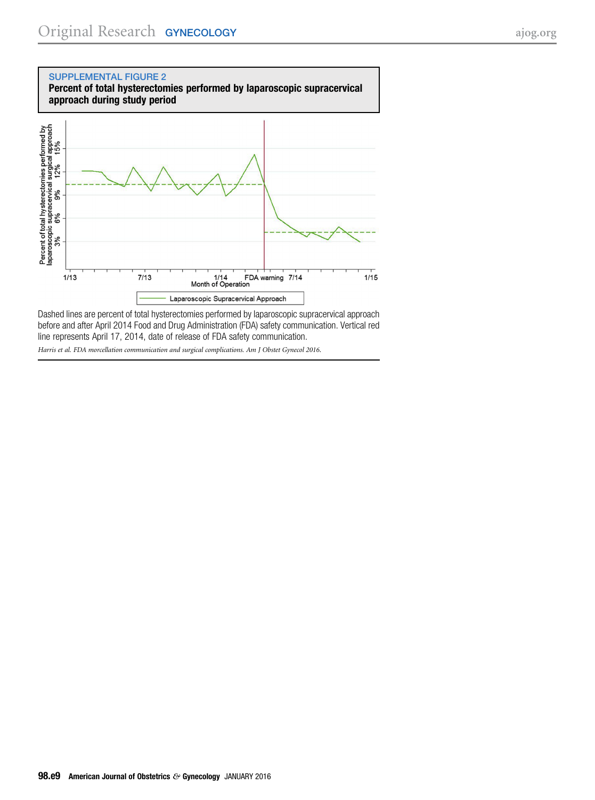<span id="page-8-0"></span>

Dashed lines are percent of total hysterectomies performed by laparoscopic supracervical approach before and after April 2014 Food and Drug Administration (FDA) safety communication. Vertical red line represents April 17, 2014, date of release of FDA safety communication. Harris et al. FDA morcellation communication and surgical complications. Am J Obstet Gynecol 2016.

98.e9 American Journal of Obstetrics & Gynecology JANUARY 2016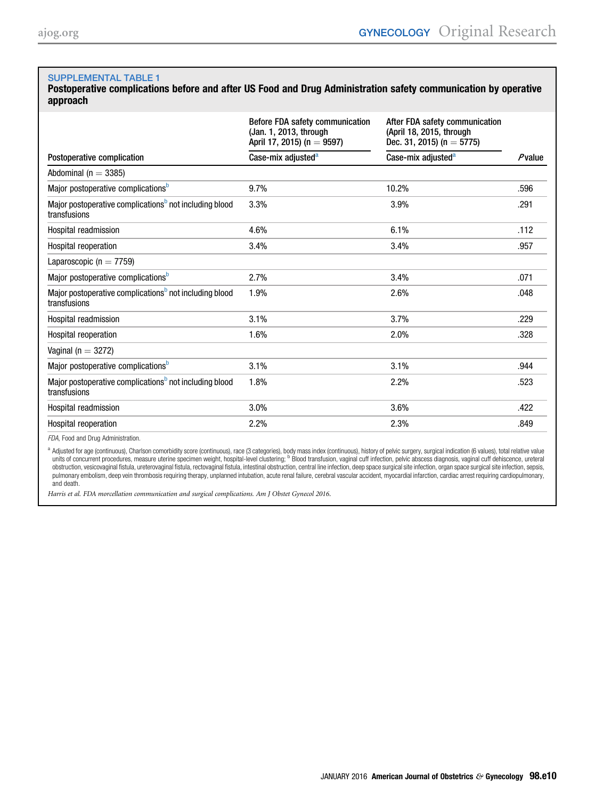<span id="page-9-0"></span>Postoperative complications before and after US Food and Drug Administration safety communication by operative approach

|                                                                                    | Before FDA safety communication<br>(Jan. 1, 2013, through<br>April 17, 2015) (n = 9597) | After FDA safety communication<br>(April 18, 2015, through<br>Dec. 31, 2015) (n = 5775) |        |
|------------------------------------------------------------------------------------|-----------------------------------------------------------------------------------------|-----------------------------------------------------------------------------------------|--------|
| Postoperative complication                                                         | Case-mix adjusted <sup>a</sup>                                                          | Case-mix adjusted <sup>a</sup>                                                          | Pvalue |
| Abdominal ( $n = 3385$ )                                                           |                                                                                         |                                                                                         |        |
| Major postoperative complications <sup>b</sup>                                     | 9.7%                                                                                    | 10.2%                                                                                   | .596   |
| Major postoperative complications <sup>b</sup> not including blood<br>transfusions | 3.3%                                                                                    | 3.9%                                                                                    | .291   |
| Hospital readmission                                                               | 4.6%                                                                                    | 6.1%                                                                                    | .112   |
| <b>Hospital reoperation</b>                                                        | 3.4%                                                                                    | 3.4%                                                                                    | .957   |
| Laparoscopic ( $n = 7759$ )                                                        |                                                                                         |                                                                                         |        |
| Major postoperative complications <sup>p</sup>                                     | 2.7%                                                                                    | 3.4%                                                                                    | .071   |
| Major postoperative complications <sup>b</sup> not including blood<br>transfusions | 1.9%                                                                                    | 2.6%                                                                                    | .048   |
| Hospital readmission                                                               | 3.1%                                                                                    | 3.7%                                                                                    | .229   |
| Hospital reoperation                                                               | 1.6%                                                                                    | 2.0%                                                                                    | .328   |
| Vaginal ( $n = 3272$ )                                                             |                                                                                         |                                                                                         |        |
| Major postoperative complications <sup>b</sup>                                     | 3.1%                                                                                    | 3.1%                                                                                    | .944   |
| Major postoperative complications <sup>b</sup> not including blood<br>transfusions | 1.8%                                                                                    | 2.2%                                                                                    | .523   |
| Hospital readmission                                                               | 3.0%                                                                                    | 3.6%                                                                                    | .422   |
| Hospital reoperation                                                               | 2.2%                                                                                    | 2.3%                                                                                    | .849   |

FDA, Food and Drug Administration.

a Adjusted for age (continuous), Charlson comorbidity score (continuous), race (3 categories), body mass index (continuous), history of pelvic surgery, surgical indication (6 values), total relative value units of concurrent procedures, measure uterine specimen weight, hospital-level clustering; <sup>b</sup> Blood transfusion, vaginal cuff infection, pelvic abscess diagnosis, vaginal cuff dehiscence, ureteral obstruction, vesicovaginal fistula, ureterovaginal fistula, rectovaginal fistula, intestinal obstruction, central line infection, deep space surgical site infection, organ space surgical site infection, sepsis, pulmonary embolism, deep vein thrombosis requiring therapy, unplanned intubation, acute renal failure, cerebral vascular accident, myocardial infarction, cardiac arrest requiring cardiopulmonary, and death.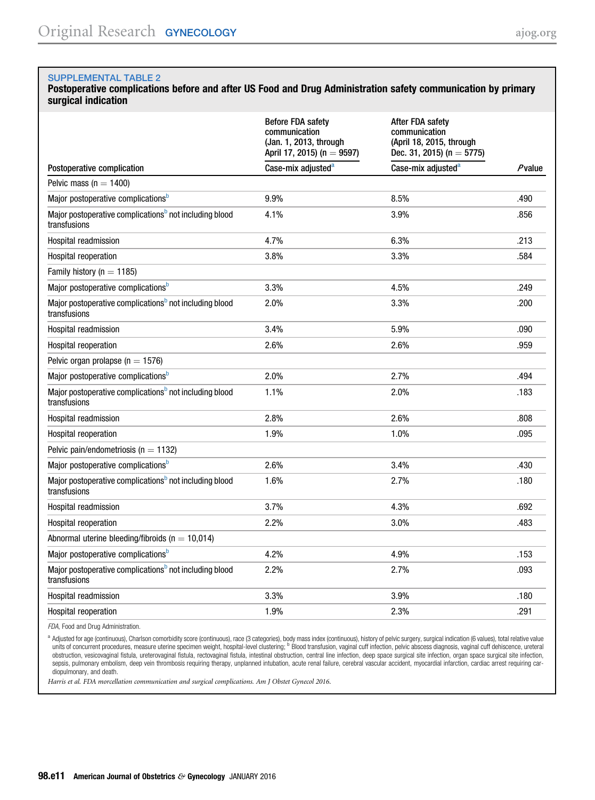#### <span id="page-10-0"></span>Postoperative complications before and after US Food and Drug Administration safety communication by primary surgical indication

|                                                                                    | <b>Before FDA safety</b><br>communication<br>(Jan. 1, 2013, through<br>April 17, 2015) (n = 9597) | After FDA safety<br>communication<br>(April 18, 2015, through<br>Dec. 31, 2015) (n = 5775) |           |
|------------------------------------------------------------------------------------|---------------------------------------------------------------------------------------------------|--------------------------------------------------------------------------------------------|-----------|
| Postoperative complication                                                         | Case-mix adjusted <sup>a</sup>                                                                    | Case-mix adjusted <sup>a</sup>                                                             | $P$ value |
| Pelvic mass ( $n = 1400$ )                                                         |                                                                                                   |                                                                                            |           |
| Major postoperative complications <sup>b</sup>                                     | 9.9%                                                                                              | 8.5%                                                                                       | .490      |
| Major postoperative complications <sup>b</sup> not including blood<br>transfusions | 4.1%                                                                                              | 3.9%                                                                                       | .856      |
| Hospital readmission                                                               | 4.7%                                                                                              | 6.3%                                                                                       | .213      |
| Hospital reoperation                                                               | 3.8%                                                                                              | 3.3%                                                                                       | .584      |
| Family history ( $n = 1185$ )                                                      |                                                                                                   |                                                                                            |           |
| Major postoperative complications <sup>b</sup>                                     | 3.3%                                                                                              | 4.5%                                                                                       | .249      |
| Major postoperative complications <sup>b</sup> not including blood<br>transfusions | 2.0%                                                                                              | 3.3%                                                                                       | .200      |
| Hospital readmission                                                               | 3.4%                                                                                              | 5.9%                                                                                       | .090      |
| Hospital reoperation                                                               | 2.6%                                                                                              | 2.6%                                                                                       | .959      |
| Pelvic organ prolapse ( $n = 1576$ )                                               |                                                                                                   |                                                                                            |           |
| Major postoperative complications <sup>D</sup>                                     | 2.0%                                                                                              | 2.7%                                                                                       | .494      |
| Major postoperative complications <sup>b</sup> not including blood<br>transfusions | 1.1%                                                                                              | 2.0%                                                                                       | .183      |
| Hospital readmission                                                               | 2.8%                                                                                              | 2.6%                                                                                       | .808      |
| <b>Hospital reoperation</b>                                                        | 1.9%                                                                                              | 1.0%                                                                                       | .095      |
| Pelvic pain/endometriosis ( $n = 1132$ )                                           |                                                                                                   |                                                                                            |           |
| Major postoperative complications <sup>b</sup>                                     | 2.6%                                                                                              | 3.4%                                                                                       | .430      |
| Major postoperative complications <sup>b</sup> not including blood<br>transfusions | 1.6%                                                                                              | 2.7%                                                                                       | .180      |
| Hospital readmission                                                               | 3.7%                                                                                              | 4.3%                                                                                       | .692      |
| Hospital reoperation                                                               | 2.2%                                                                                              | 3.0%                                                                                       | .483      |
| Abnormal uterine bleeding/fibroids ( $n = 10,014$ )                                |                                                                                                   |                                                                                            |           |
| Major postoperative complications <sup>b</sup>                                     | 4.2%                                                                                              | 4.9%                                                                                       | .153      |
| Major postoperative complications <sup>b</sup> not including blood<br>transfusions | 2.2%                                                                                              | 2.7%                                                                                       | .093      |
| Hospital readmission                                                               | 3.3%                                                                                              | 3.9%                                                                                       | .180      |
| Hospital reoperation                                                               | 1.9%                                                                                              | 2.3%                                                                                       | .291      |

FDA, Food and Drug Administration.

<sup>a</sup> Adjusted for age (continuous), Charlson comorbidity score (continuous), race (3 categories), body mass index (continuous), history of pelvic surgery, surgical indication (6 values), total relative value units of concurrent procedures, measure uterine specimen weight, hospital-level clustering; <sup>b</sup> Blood transfusion, vaginal cuff infection, pelvic abscess diagnosis, vaginal cuff dehiscence, ureteral obstruction, vesicovaginal fistula, ureterovaginal fistula, rectovaginal fistula, intestinal obstruction, central line infection, deep space surgical site infection, organ space surgical site infection, organ space surgica sepsis, pulmonary embolism, deep vein thrombosis requiring therapy, unplanned intubation, acute renal failure, cerebral vascular accident, myocardial infarction, cardiac arrest requiring cardiopulmonary, and death.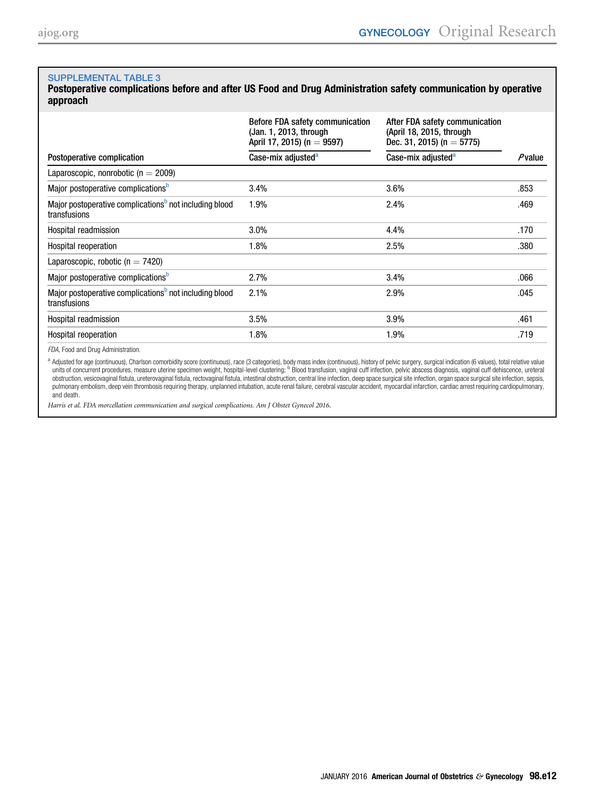<span id="page-11-0"></span>Postoperative complications before and after US Food and Drug Administration safety communication by operative approach

|                                                                                    | Before FDA safety communication<br>(Jan. 1, 2013, through<br>April 17, 2015) (n = 9597) | After FDA safety communication<br>(April 18, 2015, through<br>Dec. 31, 2015) (n = 5775) |           |
|------------------------------------------------------------------------------------|-----------------------------------------------------------------------------------------|-----------------------------------------------------------------------------------------|-----------|
| Postoperative complication                                                         | Case-mix adjusted <sup>a</sup>                                                          | Case-mix adjusted <sup>a</sup>                                                          | $P$ value |
| Laparoscopic, nonrobotic ( $n = 2009$ )                                            |                                                                                         |                                                                                         |           |
| Major postoperative complications <sup>b</sup>                                     | 3.4%                                                                                    | 3.6%                                                                                    | .853      |
| Major postoperative complications <sup>b</sup> not including blood<br>transfusions | 1.9%                                                                                    | 2.4%                                                                                    | .469      |
| Hospital readmission                                                               | 3.0%                                                                                    | 4.4%                                                                                    | .170      |
| Hospital reoperation                                                               | 1.8%                                                                                    | 2.5%                                                                                    | .380      |
| Laparoscopic, robotic ( $n = 7420$ )                                               |                                                                                         |                                                                                         |           |
| Major postoperative complications <sup>b</sup>                                     | 2.7%                                                                                    | 3.4%                                                                                    | .066      |
| Major postoperative complications <sup>b</sup> not including blood<br>transfusions | 2.1%                                                                                    | 2.9%                                                                                    | .045      |
| Hospital readmission                                                               | 3.5%                                                                                    | 3.9%                                                                                    | .461      |
| Hospital reoperation                                                               | 1.8%                                                                                    | 1.9%                                                                                    | .719      |

FDA, Food and Drug Administration.

a Adjusted for age (continuous), Charlson comorbidity score (continuous), race (3 categories), body mass index (continuous), history of pelvic surgery, surgical indication (6 values), total relative value units of concurrent procedures, measure uterine specimen weight, hospital-level clustering; <sup>b</sup> Blood transfusion, vaginal cuff infection, pelvic abscess diagnosis, vaginal cuff dehiscence, ureteral obstruction, vesicovaginal fistula, ureterovaginal fistula, rectovaginal fistula, intestinal obstruction, central line infection, deep space surgical site infection, organ space surgical site infection, sepsis, pulmonary embolism, deep vein thrombosis requiring therapy, unplanned intubation, acute renal failure, cerebral vascular accident, myocardial infarction, cardiac arrest requiring cardiopulmonary, and death.